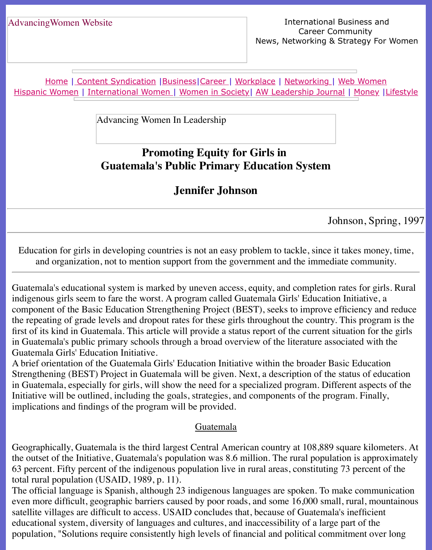Home | Content Syndication | Business | Career | Workplace | Networking | Web Wo Hispanic Women | International Women | Women in Society | AW Leadership Journal | Mon

Advancing Women In Leadership

# **[Pro](file:///content.html)[moting](file:///business.html) [Equity](file:///awcareer.html) [for Girls](file:///workplace.html) i[n](file:///networks.html)  [Guatemala's P](file:///international.html)[ublic Primary E](file:///Users/nrahman/Desktop/Flash2/womsoc/index.html)[ducation System](file:///awl/awl.html)**

# **Jennifer Johnson**

Johnson,

Education for girls in developing countries is not an easy problem to tackle, since it takes no and organization, not to mention support from the government and the immediate com

Guatemala's educational system is marked by uneven access, equity, and completion rates for indigenous girls seem to fare the worst. A program called Guatemala Girls' Education Initiat component of the Basic Education Strengthening Project (BEST), seeks to improve efficienc the repeating of grade levels and dropout rates for these girls throughout the country. This program is the report first of its kind in Guatemala. This article will provide a status report of the current situation in Guatemala's public primary schools through a broad overview of the literature associated Guatemala Girls' Education Initiative.

A brief orientation of the Guatemala Girls' Education Initiative within the broader Basic Edu Strengthening (BEST) Project in Guatemala will be given. Next, a description of the status of in Guatemala, especially for girls, will show the need for a specialized program. Different as Initiative will be outlined, including the goals, strategies, and components of the program. Finally, implications and findings of the program will be provided.

#### **Guatemala**

Geographically, Guatemala is the third largest Central American country at 108,889 square k the outset of the Initiative, Guatemala's population was 8.6 million. The rural population is a 63 percent. Fifty percent of the indigenous population live in rural areas, constituting 73 percent. total rural population (USAID, 1989, p. 11).

The official language is Spanish, although 23 indigenous languages are spoken. To make cor even more difficult, geographic barriers caused by poor roads, and some 16,000 small, rural, satellite villages are difficult to access. USAID concludes that, because of Guatemala's inefficient educational system, diversity of languages and cultures, and inaccessibility of a large part of population, "Solutions require consistently high levels of financial and political commitment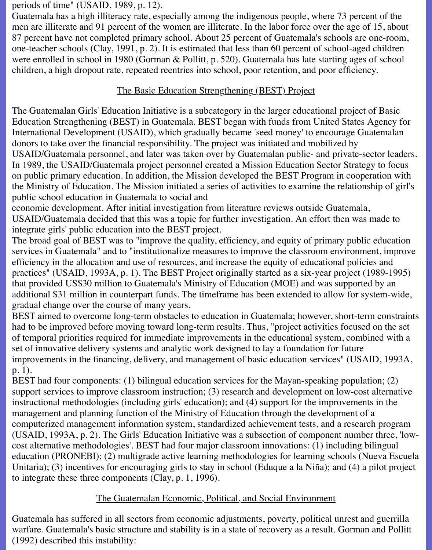periods of time" (USAID, 1989, p. 12).

Guatemala has a high illiteracy rate, especially among the indigenous people, where 73 percent of the men are illiterate and 91 percent of the women are illiterate. In the labor force over the age of 15, about 87 percent have not completed primary school. About 25 percent of Guatemala's schools are one-room, one-teacher schools (Clay, 1991, p. 2). It is estimated that less than 60 percent of school-aged children were enrolled in school in 1980 (Gorman & Pollitt, p. 520). Guatemala has late starting ages of school children, a high dropout rate, repeated reentries into school, poor retention, and poor efficiency.

### The Basic Education Strengthening (BEST) Project

The Guatemalan Girls' Education Initiative is a subcategory in the larger educational project of Basic Education Strengthening (BEST) in Guatemala. BEST began with funds from United States Agency for International Development (USAID), which gradually became 'seed money' to encourage Guatemalan donors to take over the financial responsibility. The project was initiated and mobilized by USAID/Guatemala personnel, and later was taken over by Guatemalan public- and private-sector leaders. In 1989, the USAID/Guatemala project personnel created a Mission Education Sector Strategy to focus on public primary education. In addition, the Mission developed the BEST Program in cooperation with the Ministry of Education. The Mission initiated a series of activities to examine the relationship of girl's public school education in Guatemala to social and

economic development. After initial investigation from literature reviews outside Guatemala, USAID/Guatemala decided that this was a topic for further investigation. An effort then was made to integrate girls' public education into the BEST project.

The broad goal of BEST was to "improve the quality, efficiency, and equity of primary public education services in Guatemala" and to "institutionalize measures to improve the classroom environment, improve efficiency in the allocation and use of resources, and increase the equity of educational policies and practices" (USAID, 1993A, p. 1). The BEST Project originally started as a six-year project (1989-1995) that provided US\$30 million to Guatemala's Ministry of Education (MOE) and was supported by an additional \$31 million in counterpart funds. The timeframe has been extended to allow for system-wide, gradual change over the course of many years.

BEST aimed to overcome long-term obstacles to education in Guatemala; however, short-term constraints had to be improved before moving toward long-term results. Thus, "project activities focused on the set of temporal priorities required for immediate improvements in the educational system, combined with a set of innovative delivery systems and analytic work designed to lay a foundation for future improvements in the financing, delivery, and management of basic education services" (USAID, 1993A, p. 1).

BEST had four components: (1) bilingual education services for the Mayan-speaking population; (2) support services to improve classroom instruction; (3) research and development on low-cost alternative instructional methodologies (including girls' education); and (4) support for the improvements in the management and planning function of the Ministry of Education through the development of a computerized management information system, standardized achievement tests, and a research program (USAID, 1993A, p. 2). The Girls' Education Initiative was a subsection of component number three, 'lowcost alternative methodologies'. BEST had four major classroom innovations: (1) including bilingual education (PRONEBI); (2) multigrade active learning methodologies for learning schools (Nueva Escuela Unitaria); (3) incentives for encouraging girls to stay in school (Eduque a la Niña); and (4) a pilot project to integrate these three components (Clay, p. 1, 1996).

#### The Guatemalan Economic, Political, and Social Environment

Guatemala has suffered in all sectors from economic adjustments, poverty, political unrest and guerrilla warfare. Guatemala's basic structure and stability is in a state of recovery as a result. Gorman and Pollitt (1992) described this instability: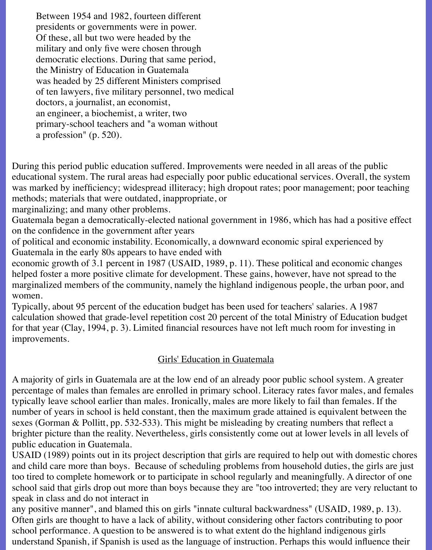Between 1954 and 1982, fourteen different presidents or governments were in power. Of these, all but two were headed by the military and only five were chosen through democratic elections. During that same period, the Ministry of Education in Guatemala was headed by 25 different Ministers comprised of ten lawyers, five military personnel, two medical doctors, a journalist, an economist, an engineer, a biochemist, a writer, two primary-school teachers and "a woman without a profession" (p. 520).

During this period public education suffered. Improvements were needed in all areas of the public educational system. The rural areas had especially poor public educational services. Overall, the system was marked by inefficiency; widespread illiteracy; high dropout rates; poor management; poor teaching methods; materials that were outdated, inappropriate, or

marginalizing; and many other problems.

Guatemala began a democratically-elected national government in 1986, which has had a positive effect on the confidence in the government after years

of political and economic instability. Economically, a downward economic spiral experienced by Guatemala in the early 80s appears to have ended with

economic growth of 3.1 percent in 1987 (USAID, 1989, p. 11). These political and economic changes helped foster a more positive climate for development. These gains, however, have not spread to the marginalized members of the community, namely the highland indigenous people, the urban poor, and women.

Typically, about 95 percent of the education budget has been used for teachers' salaries. A 1987 calculation showed that grade-level repetition cost 20 percent of the total Ministry of Education budget for that year (Clay, 1994, p. 3). Limited financial resources have not left much room for investing in improvements.

#### Girls' Education in Guatemala

A majority of girls in Guatemala are at the low end of an already poor public school system. A greater percentage of males than females are enrolled in primary school. Literacy rates favor males, and females typically leave school earlier than males. Ironically, males are more likely to fail than females. If the number of years in school is held constant, then the maximum grade attained is equivalent between the sexes (Gorman & Pollitt, pp. 532-533). This might be misleading by creating numbers that reflect a brighter picture than the reality. Nevertheless, girls consistently come out at lower levels in all levels of public education in Guatemala.

USAID (1989) points out in its project description that girls are required to help out with domestic chores and child care more than boys. Because of scheduling problems from household duties, the girls are just too tired to complete homework or to participate in school regularly and meaningfully. A director of one school said that girls drop out more than boys because they are "too introverted; they are very reluctant to speak in class and do not interact in

any positive manner", and blamed this on girls "innate cultural backwardness" (USAID, 1989, p. 13). Often girls are thought to have a lack of ability, without considering other factors contributing to poor school performance. A question to be answered is to what extent do the highland indigenous girls understand Spanish, if Spanish is used as the language of instruction. Perhaps this would influence their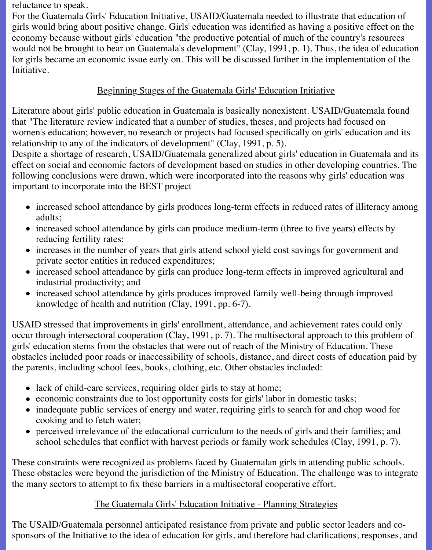reluctance to speak.

For the Guatemala Girls' Education Initiative, USAID/Guatemala needed to illustrate that education of girls would bring about positive change. Girls' education was identified as having a positive effect on the economy because without girls' education "the productive potential of much of the country's resources would not be brought to bear on Guatemala's development" (Clay, 1991, p. 1). Thus, the idea of education for girls became an economic issue early on. This will be discussed further in the implementation of the Initiative.

### Beginning Stages of the Guatemala Girls' Education Initiative

Literature about girls' public education in Guatemala is basically nonexistent. USAID/Guatemala found that "The literature review indicated that a number of studies, theses, and projects had focused on women's education; however, no research or projects had focused specifically on girls' education and its relationship to any of the indicators of development" (Clay, 1991, p. 5).

Despite a shortage of research, USAID/Guatemala generalized about girls' education in Guatemala and its effect on social and economic factors of development based on studies in other developing countries. The following conclusions were drawn, which were incorporated into the reasons why girls' education was important to incorporate into the BEST project

- increased school attendance by girls produces long-term effects in reduced rates of illiteracy among adults;
- increased school attendance by girls can produce medium-term (three to five years) effects by reducing fertility rates;
- increases in the number of years that girls attend school yield cost savings for government and private sector entities in reduced expenditures;
- increased school attendance by girls can produce long-term effects in improved agricultural and industrial productivity; and
- increased school attendance by girls produces improved family well-being through improved knowledge of health and nutrition (Clay, 1991, pp. 6-7).

USAID stressed that improvements in girls' enrollment, attendance, and achievement rates could only occur through intersectoral cooperation (Clay, 1991, p. 7). The multisectoral approach to this problem of girls' education stems from the obstacles that were out of reach of the Ministry of Education. These obstacles included poor roads or inaccessibility of schools, distance, and direct costs of education paid by the parents, including school fees, books, clothing, etc. Other obstacles included:

- lack of child-care services, requiring older girls to stay at home;
- economic constraints due to lost opportunity costs for girls' labor in domestic tasks;
- inadequate public services of energy and water, requiring girls to search for and chop wood for cooking and to fetch water;
- perceived irrelevance of the educational curriculum to the needs of girls and their families; and  $\bullet$ school schedules that conflict with harvest periods or family work schedules (Clay, 1991, p. 7).

These constraints were recognized as problems faced by Guatemalan girls in attending public schools. These obstacles were beyond the jurisdiction of the Ministry of Education. The challenge was to integrate the many sectors to attempt to fix these barriers in a multisectoral cooperative effort.

# The Guatemala Girls' Education Initiative - Planning Strategies

The USAID/Guatemala personnel anticipated resistance from private and public sector leaders and cosponsors of the Initiative to the idea of education for girls, and therefore had clarifications, responses, and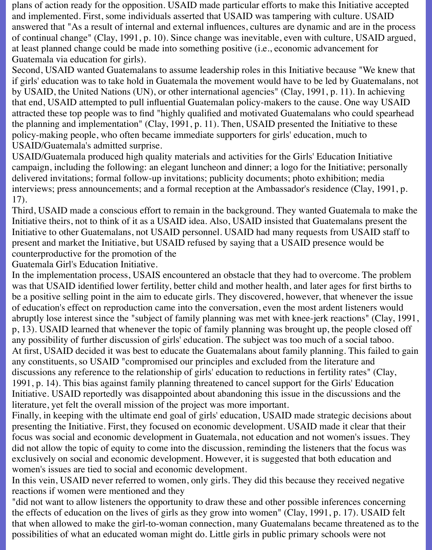plans of action ready for the opposition. USAID made particular efforts to make this Initiative accepted and implemented. First, some individuals asserted that USAID was tampering with culture. USAID answered that "As a result of internal and external influences, cultures are dynamic and are in the process of continual change" (Clay, 1991, p. 10). Since change was inevitable, even with culture, USAID argued, at least planned change could be made into something positive (i.e., economic advancement for Guatemala via education for girls).

Second, USAID wanted Guatemalans to assume leadership roles in this Initiative because "We knew that if girls' education was to take hold in Guatemala the movement would have to be led by Guatemalans, not by USAID, the United Nations (UN), or other international agencies" (Clay, 1991, p. 11). In achieving that end, USAID attempted to pull influential Guatemalan policy-makers to the cause. One way USAID attracted these top people was to find "highly qualified and motivated Guatemalans who could spearhead the planning and implementation" (Clay, 1991, p. 11). Then, USAID presented the Initiative to these policy-making people, who often became immediate supporters for girls' education, much to USAID/Guatemala's admitted surprise.

USAID/Guatemala produced high quality materials and activities for the Girls' Education Initiative campaign, including the following: an elegant luncheon and dinner; a logo for the Initiative; personally delivered invitations; formal follow-up invitations; publicity documents; photo exhibition; media interviews; press announcements; and a formal reception at the Ambassador's residence (Clay, 1991, p. 17).

Third, USAID made a conscious effort to remain in the background. They wanted Guatemala to make the Initiative theirs, not to think of it as a USAID idea. Also, USAID insisted that Guatemalans present the Initiative to other Guatemalans, not USAID personnel. USAID had many requests from USAID staff to present and market the Initiative, but USAID refused by saying that a USAID presence would be counterproductive for the promotion of the

Guatemala Girl's Education Initiative.

In the implementation process, USAIS encountered an obstacle that they had to overcome. The problem was that USAID identified lower fertility, better child and mother health, and later ages for first births to be a positive selling point in the aim to educate girls. They discovered, however, that whenever the issue of education's effect on reproduction came into the conversation, even the most ardent listeners would abruptly lose interest since the "subject of family planning was met with knee-jerk reactions" (Clay, 1991, p, 13). USAID learned that whenever the topic of family planning was brought up, the people closed off any possibility of further discussion of girls' education. The subject was too much of a social taboo. At first, USAID decided it was best to educate the Guatemalans about family planning. This failed to gain any constituents, so USAID "compromised our principles and excluded from the literature and discussions any reference to the relationship of girls' education to reductions in fertility rates" (Clay, 1991, p. 14). This bias against family planning threatened to cancel support for the Girls' Education Initiative. USAID reportedly was disappointed about abandoning this issue in the discussions and the literature, yet felt the overall mission of the project was more important.

Finally, in keeping with the ultimate end goal of girls' education, USAID made strategic decisions about presenting the Initiative. First, they focused on economic development. USAID made it clear that their focus was social and economic development in Guatemala, not education and not women's issues. They did not allow the topic of equity to come into the discussion, reminding the listeners that the focus was exclusively on social and economic development. However, it is suggested that both education and women's issues are tied to social and economic development.

In this vein, USAID never referred to women, only girls. They did this because they received negative reactions if women were mentioned and they

"did not want to allow listeners the opportunity to draw these and other possible inferences concerning the effects of education on the lives of girls as they grow into women" (Clay, 1991, p. 17). USAID felt that when allowed to make the girl-to-woman connection, many Guatemalans became threatened as to the possibilities of what an educated woman might do. Little girls in public primary schools were not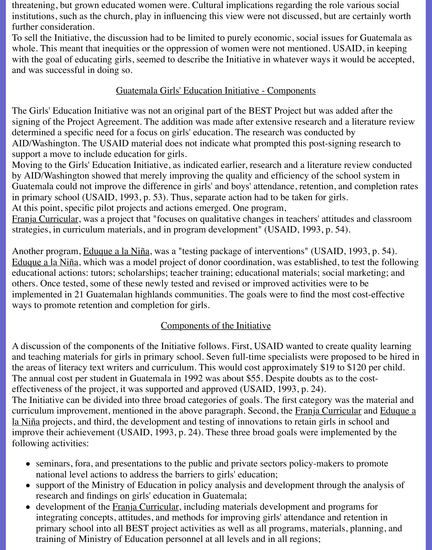threatening, but grown educated women were. Cultural implications regarding the role various social institutions, such as the church, play in influencing this view were not discussed, but are certainly worth further consideration.

To sell the Initiative, the discussion had to be limited to purely economic, social issues for Guatemala as whole. This meant that inequities or the oppression of women were not mentioned. USAID, in keeping with the goal of educating girls, seemed to describe the Initiative in whatever ways it would be accepted, and was successful in doing so.

### Guatemala Girls' Education Initiative - Components

The Girls' Education Initiative was not an original part of the BEST Project but was added after the signing of the Project Agreement. The addition was made after extensive research and a literature review determined a specific need for a focus on girls' education. The research was conducted by AID/Washington. The USAID material does not indicate what prompted this post-signing research to support a move to include education for girls.

Moving to the Girls' Education Initiative, as indicated earlier, research and a literature review conducted by AID/Washington showed that merely improving the quality and efficiency of the school system in Guatemala could not improve the difference in girls' and boys' attendance, retention, and completion rates in primary school (USAID, 1993, p. 53). Thus, separate action had to be taken for girls. At this point, specific pilot projects and actions emerged. One program,

Franja Curricular, was a project that "focuses on qualitative changes in teachers' attitudes and classroom strategies, in curriculum materials, and in program development" (USAID, 1993, p. 54).

Another program, Eduque a la Niña, was a "testing package of interventions" (USAID, 1993, p. 54). Eduque a la Niña, which was a model project of donor coordination, was established, to test the following educational actions: tutors; scholarships; teacher training; educational materials; social marketing; and others. Once tested, some of these newly tested and revised or improved activities were to be implemented in 21 Guatemalan highlands communities. The goals were to find the most cost-effective ways to promote retention and completion for girls.

# Components of the Initiative

A discussion of the components of the Initiative follows. First, USAID wanted to create quality learning and teaching materials for girls in primary school. Seven full-time specialists were proposed to be hired in the areas of literacy text writers and curriculum. This would cost approximately \$19 to \$120 per child. The annual cost per student in Guatemala in 1992 was about \$55. Despite doubts as to the costeffectiveness of the project, it was supported and approved (USAID, 1993, p. 24). The Initiative can be divided into three broad categories of goals. The first category was the material and curriculum improvement, mentioned in the above paragraph. Second, the Franja Curricular and Eduque a la Niña projects, and third, the development and testing of innovations to retain girls in school and improve their achievement (USAID, 1993, p. 24). These three broad goals were implemented by the following activities:

- seminars, fora, and presentations to the public and private sectors policy-makers to promote national level actions to address the barriers to girls' education;
- support of the Ministry of Education in policy analysis and development through the analysis of research and findings on girls' education in Guatemala;
- development of the Franja Curricular, including materials development and programs for integrating concepts, attitudes, and methods for improving girls' attendance and retention in primary school into all BEST project activities as well as all programs, materials, planning, and training of Ministry of Education personnel at all levels and in all regions;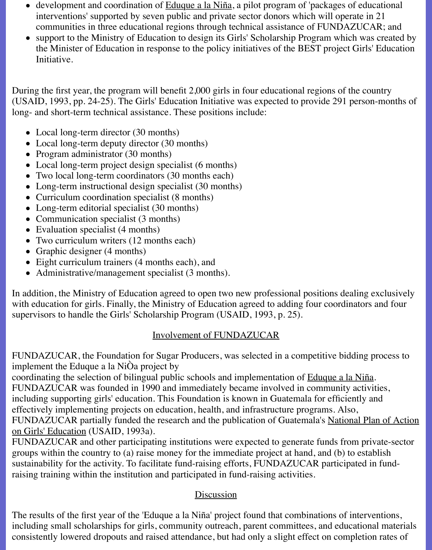- development and coordination of Eduque a la Niña, a pilot program of 'packages of educational interventions' supported by seven public and private sector donors which will operate in 21 communities in three educational regions through technical assistance of FUNDAZUCAR; and
- support to the Ministry of Education to design its Girls' Scholarship Program which was created by the Minister of Education in response to the policy initiatives of the BEST project Girls' Education Initiative.

During the first year, the program will benefit 2,000 girls in four educational regions of the country (USAID, 1993, pp. 24-25). The Girls' Education Initiative was expected to provide 291 person-months of long- and short-term technical assistance. These positions include:

- Local long-term director (30 months)
- Local long-term deputy director (30 months)
- Program administrator (30 months)
- Local long-term project design specialist (6 months)
- Two local long-term coordinators (30 months each)
- Long-term instructional design specialist (30 months)
- Curriculum coordination specialist (8 months)
- Long-term editorial specialist (30 months)
- Communication specialist (3 months)
- Evaluation specialist (4 months)
- Two curriculum writers (12 months each)
- Graphic designer (4 months)
- Eight curriculum trainers (4 months each), and
- Administrative/management specialist (3 months).

In addition, the Ministry of Education agreed to open two new professional positions dealing exclusively with education for girls. Finally, the Ministry of Education agreed to adding four coordinators and four supervisors to handle the Girls' Scholarship Program (USAID, 1993, p. 25).

# Involvement of FUNDAZUCAR

FUNDAZUCAR, the Foundation for Sugar Producers, was selected in a competitive bidding process to implement the Eduque a la NiÒa project by

coordinating the selection of bilingual public schools and implementation of Eduque a la Niña. FUNDAZUCAR was founded in 1990 and immediately became involved in community activities, including supporting girls' education. This Foundation is known in Guatemala for efficiently and effectively implementing projects on education, health, and infrastructure programs. Also, FUNDAZUCAR partially funded the research and the publication of Guatemala's National Plan of Action on Girls' Education (USAID, 1993a).

FUNDAZUCAR and other participating institutions were expected to generate funds from private-sector groups within the country to (a) raise money for the immediate project at hand, and (b) to establish sustainability for the activity. To facilitate fund-raising efforts, FUNDAZUCAR participated in fundraising training within the institution and participated in fund-raising activities.

# Discussion

The results of the first year of the 'Eduque a la Niña' project found that combinations of interventions, including small scholarships for girls, community outreach, parent committees, and educational materials consistently lowered dropouts and raised attendance, but had only a slight effect on completion rates of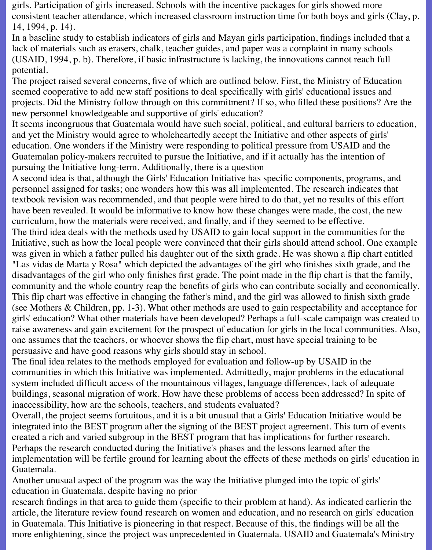girls. Participation of girls increased. Schools with the incentive packages for girls showed more consistent teacher attendance, which increased classroom instruction time for both boys and girls (Clay, p. 14, 1994, p. 14).

In a baseline study to establish indicators of girls and Mayan girls participation, findings included that a lack of materials such as erasers, chalk, teacher guides, and paper was a complaint in many schools (USAID, 1994, p. b). Therefore, if basic infrastructure is lacking, the innovations cannot reach full potential.

The project raised several concerns, five of which are outlined below. First, the Ministry of Education seemed cooperative to add new staff positions to deal specifically with girls' educational issues and projects. Did the Ministry follow through on this commitment? If so, who filled these positions? Are the new personnel knowledgeable and supportive of girls' education?

It seems incongruous that Guatemala would have such social, political, and cultural barriers to education, and yet the Ministry would agree to wholeheartedly accept the Initiative and other aspects of girls' education. One wonders if the Ministry were responding to political pressure from USAID and the Guatemalan policy-makers recruited to pursue the Initiative, and if it actually has the intention of pursuing the Initiative long-term. Additionally, there is a question

A second idea is that, although the Girls' Education Initiative has specific components, programs, and personnel assigned for tasks; one wonders how this was all implemented. The research indicates that textbook revision was recommended, and that people were hired to do that, yet no results of this effort have been revealed. It would be informative to know how these changes were made, the cost, the new curriculum, how the materials were received, and finally, and if they seemed to be effective.

The third idea deals with the methods used by USAID to gain local support in the communities for the Initiative, such as how the local people were convinced that their girls should attend school. One example was given in which a father pulled his daughter out of the sixth grade. He was shown a flip chart entitled "Las vidas de Marta y Rosa" which depicted the advantages of the girl who finishes sixth grade, and the disadvantages of the girl who only finishes first grade. The point made in the flip chart is that the family, community and the whole country reap the benefits of girls who can contribute socially and economically. This flip chart was effective in changing the father's mind, and the girl was allowed to finish sixth grade (see Mothers & Children, pp. 1-3). What other methods are used to gain respectability and acceptance for girls' education? What other materials have been developed? Perhaps a full-scale campaign was created to raise awareness and gain excitement for the prospect of education for girls in the local communities. Also, one assumes that the teachers, or whoever shows the flip chart, must have special training to be persuasive and have good reasons why girls should stay in school.

The final idea relates to the methods employed for evaluation and follow-up by USAID in the communities in which this Initiative was implemented. Admittedly, major problems in the educational system included difficult access of the mountainous villages, language differences, lack of adequate buildings, seasonal migration of work. How have these problems of access been addressed? In spite of inaccessibility, how are the schools, teachers, and students evaluated?

Overall, the project seems fortuitous, and it is a bit unusual that a Girls' Education Initiative would be integrated into the BEST program after the signing of the BEST project agreement. This turn of events created a rich and varied subgroup in the BEST program that has implications for further research. Perhaps the research conducted during the Initiative's phases and the lessons learned after the implementation will be fertile ground for learning about the effects of these methods on girls' education in Guatemala.

Another unusual aspect of the program was the way the Initiative plunged into the topic of girls' education in Guatemala, despite having no prior

research findings in that area to guide them (specific to their problem at hand). As indicated earlierin the article, the literature review found research on women and education, and no research on girls' education in Guatemala. This Initiative is pioneering in that respect. Because of this, the findings will be all the more enlightening, since the project was unprecedented in Guatemala. USAID and Guatemala's Ministry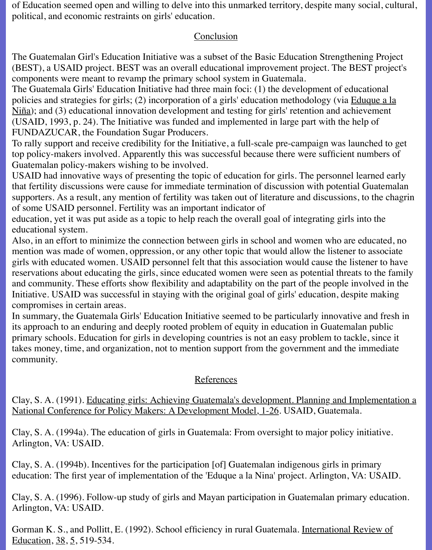of Education seemed open and willing to delve into this unmarked territory, despite many social, cultural, political, and economic restraints on girls' education.

### Conclusion

The Guatemalan Girl's Education Initiative was a subset of the Basic Education Strengthening Project (BEST), a USAID project. BEST was an overall educational improvement project. The BEST project's components were meant to revamp the primary school system in Guatemala.

The Guatemala Girls' Education Initiative had three main foci: (1) the development of educational policies and strategies for girls; (2) incorporation of a girls' education methodology (via Eduque a la Niña); and (3) educational innovation development and testing for girls' retention and achievement (USAID, 1993, p. 24). The Initiative was funded and implemented in large part with the help of FUNDAZUCAR, the Foundation Sugar Producers.

To rally support and receive credibility for the Initiative, a full-scale pre-campaign was launched to get top policy-makers involved. Apparently this was successful because there were sufficient numbers of Guatemalan policy-makers wishing to be involved.

USAID had innovative ways of presenting the topic of education for girls. The personnel learned early that fertility discussions were cause for immediate termination of discussion with potential Guatemalan supporters. As a result, any mention of fertility was taken out of literature and discussions, to the chagrin of some USAID personnel. Fertility was an important indicator of

education, yet it was put aside as a topic to help reach the overall goal of integrating girls into the educational system.

Also, in an effort to minimize the connection between girls in school and women who are educated, no mention was made of women, oppression, or any other topic that would allow the listener to associate girls with educated women. USAID personnel felt that this association would cause the listener to have reservations about educating the girls, since educated women were seen as potential threats to the family and community. These efforts show flexibility and adaptability on the part of the people involved in the Initiative. USAID was successful in staying with the original goal of girls' education, despite making compromises in certain areas.

In summary, the Guatemala Girls' Education Initiative seemed to be particularly innovative and fresh in its approach to an enduring and deeply rooted problem of equity in education in Guatemalan public primary schools. Education for girls in developing countries is not an easy problem to tackle, since it takes money, time, and organization, not to mention support from the government and the immediate community.

#### **References**

Clay, S. A. (1991). Educating girls: Achieving Guatemala's development. Planning and Implementation a National Conference for Policy Makers: A Development Model, 1-26. USAID, Guatemala.

Clay, S. A. (1994a). The education of girls in Guatemala: From oversight to major policy initiative. Arlington, VA: USAID.

Clay, S. A. (1994b). Incentives for the participation [of] Guatemalan indigenous girls in primary education: The first year of implementation of the 'Eduque a la Nina' project. Arlington, VA: USAID.

Clay, S. A. (1996). Follow-up study of girls and Mayan participation in Guatemalan primary education. Arlington, VA: USAID.

Gorman K. S., and Pollitt, E. (1992). School efficiency in rural Guatemala. International Review of Education, 38, 5, 519-534.